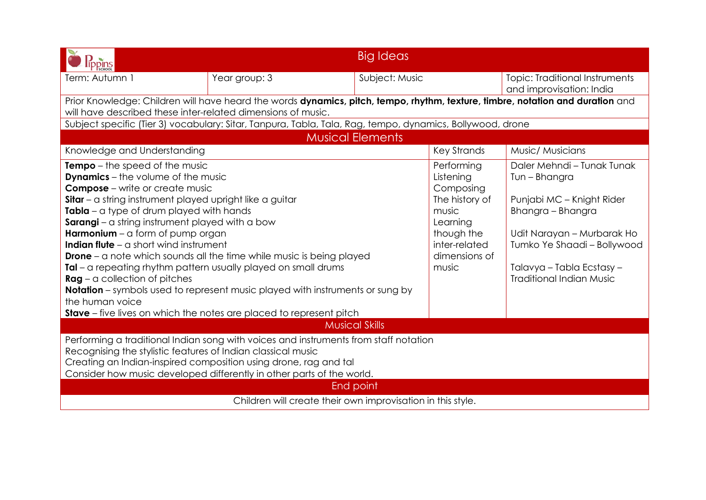| lippins                                                                                                                                                                                                                                                                                                                                                                                                                                                                                                                                                                                                                                                                                                   |                                                                                                           | <b>Big Ideas</b>        |                                                                                                                                      |                                                                                                                                                                                                                            |  |  |
|-----------------------------------------------------------------------------------------------------------------------------------------------------------------------------------------------------------------------------------------------------------------------------------------------------------------------------------------------------------------------------------------------------------------------------------------------------------------------------------------------------------------------------------------------------------------------------------------------------------------------------------------------------------------------------------------------------------|-----------------------------------------------------------------------------------------------------------|-------------------------|--------------------------------------------------------------------------------------------------------------------------------------|----------------------------------------------------------------------------------------------------------------------------------------------------------------------------------------------------------------------------|--|--|
| Term: Autumn 1                                                                                                                                                                                                                                                                                                                                                                                                                                                                                                                                                                                                                                                                                            | Year group: 3                                                                                             | Subject: Music          |                                                                                                                                      | <b>Topic: Traditional Instruments</b><br>and improvisation: India                                                                                                                                                          |  |  |
| Prior Knowledge: Children will have heard the words dynamics, pitch, tempo, rhythm, texture, timbre, notation and duration and<br>will have described these inter-related dimensions of music.                                                                                                                                                                                                                                                                                                                                                                                                                                                                                                            |                                                                                                           |                         |                                                                                                                                      |                                                                                                                                                                                                                            |  |  |
|                                                                                                                                                                                                                                                                                                                                                                                                                                                                                                                                                                                                                                                                                                           | Subject specific (Tier 3) vocabulary: Sitar, Tanpura, Tabla, Tala, Rag, tempo, dynamics, Bollywood, drone |                         |                                                                                                                                      |                                                                                                                                                                                                                            |  |  |
|                                                                                                                                                                                                                                                                                                                                                                                                                                                                                                                                                                                                                                                                                                           |                                                                                                           | <b>Musical Elements</b> |                                                                                                                                      |                                                                                                                                                                                                                            |  |  |
| Knowledge and Understanding                                                                                                                                                                                                                                                                                                                                                                                                                                                                                                                                                                                                                                                                               |                                                                                                           |                         | <b>Key Strands</b>                                                                                                                   | Music/ Musicians                                                                                                                                                                                                           |  |  |
| Tempo - the speed of the music<br><b>Dynamics</b> - the volume of the music<br><b>Compose</b> – write or create music<br>Sitar - a string instrument played upright like a guitar<br>$\text{Table} - \alpha$ type of drum played with hands<br>Sarangi - a string instrument played with a bow<br><b>Harmonium</b> $-$ a form of pump organ<br><b>Indian flute</b> $-\alpha$ short wind instrument<br><b>Drone</b> – a note which sounds all the time while music is being played<br>$\text{Id}$ – a repeating rhythm pattern usually played on small drums<br>$Rag - a collection of$ pitches<br><b>Notation</b> – symbols used to represent music played with instruments or sung by<br>the human voice |                                                                                                           |                         | Performing<br>Listening<br>Composing<br>The history of<br>music<br>Learning<br>though the<br>inter-related<br>dimensions of<br>music | Daler Mehndi - Tunak Tunak<br>Tun - Bhangra<br>Punjabi MC - Knight Rider<br>Bhangra - Bhangra<br>Udit Narayan - Murbarak Ho<br>Tumko Ye Shaadi - Bollywood<br>Talavya – Tabla Ecstasy –<br><b>Traditional Indian Music</b> |  |  |
| <b>Musical Skills</b>                                                                                                                                                                                                                                                                                                                                                                                                                                                                                                                                                                                                                                                                                     |                                                                                                           |                         |                                                                                                                                      |                                                                                                                                                                                                                            |  |  |
| Performing a traditional Indian song with voices and instruments from staff notation<br>Recognising the stylistic features of Indian classical music<br>Creating an Indian-inspired composition using drone, rag and tal<br>Consider how music developed differently in other parts of the world.<br>End point<br>Children will create their own improvisation in this style.                                                                                                                                                                                                                                                                                                                             |                                                                                                           |                         |                                                                                                                                      |                                                                                                                                                                                                                            |  |  |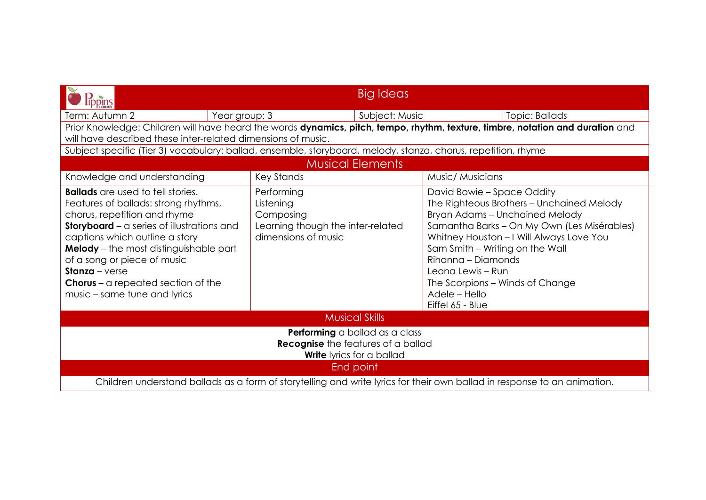|                                                                                                                                                                                                                                                                                                                                                                                        |                                                                                                  | <b>Big Ideas</b>        |                                                                                                                                                                                                                                                                                                                                                            |  |  |  |  |
|----------------------------------------------------------------------------------------------------------------------------------------------------------------------------------------------------------------------------------------------------------------------------------------------------------------------------------------------------------------------------------------|--------------------------------------------------------------------------------------------------|-------------------------|------------------------------------------------------------------------------------------------------------------------------------------------------------------------------------------------------------------------------------------------------------------------------------------------------------------------------------------------------------|--|--|--|--|
| Term: Autumn 2<br>Year group: 3                                                                                                                                                                                                                                                                                                                                                        |                                                                                                  | Subject: Music          | Topic: Ballads                                                                                                                                                                                                                                                                                                                                             |  |  |  |  |
| Prior Knowledge: Children will have heard the words dynamics, pitch, tempo, rhythm, texture, timbre, notation and duration and                                                                                                                                                                                                                                                         |                                                                                                  |                         |                                                                                                                                                                                                                                                                                                                                                            |  |  |  |  |
|                                                                                                                                                                                                                                                                                                                                                                                        | will have described these inter-related dimensions of music.                                     |                         |                                                                                                                                                                                                                                                                                                                                                            |  |  |  |  |
| Subject specific (Tier 3) vocabulary: ballad, ensemble, storyboard, melody, stanza, chorus, repetition, rhyme                                                                                                                                                                                                                                                                          |                                                                                                  |                         |                                                                                                                                                                                                                                                                                                                                                            |  |  |  |  |
|                                                                                                                                                                                                                                                                                                                                                                                        |                                                                                                  | <b>Musical Elements</b> |                                                                                                                                                                                                                                                                                                                                                            |  |  |  |  |
| Knowledge and understanding                                                                                                                                                                                                                                                                                                                                                            | <b>Key Stands</b>                                                                                |                         | Music/ Musicians                                                                                                                                                                                                                                                                                                                                           |  |  |  |  |
| <b>Ballads</b> are used to tell stories.<br>Features of ballads: strong rhythms,<br>chorus, repetition and rhyme<br>Storyboard - a series of illustrations and<br>captions which outline a story<br><b>Melody</b> - the most distinguishable part<br>of a song or piece of music<br><b>Stanza</b> – verse<br><b>Chorus</b> – a repeated section of the<br>music – same tune and lyrics | Performing<br>Listening<br>Composing<br>Learning though the inter-related<br>dimensions of music |                         | David Bowie – Space Oddity<br>The Righteous Brothers - Unchained Melody<br>Bryan Adams - Unchained Melody<br>Samantha Barks - On My Own (Les Misérables)<br>Whitney Houston - I Will Always Love You<br>Sam Smith - Writing on the Wall<br>Rihanna - Diamonds<br>Leona Lewis - Run<br>The Scorpions – Winds of Change<br>Adele - Hello<br>Eiffel 65 - Blue |  |  |  |  |
| <b>Musical Skills</b>                                                                                                                                                                                                                                                                                                                                                                  |                                                                                                  |                         |                                                                                                                                                                                                                                                                                                                                                            |  |  |  |  |
| Performing a ballad as a class<br><b>Recognise</b> the features of a ballad<br><b>Write</b> lyrics for a ballad                                                                                                                                                                                                                                                                        |                                                                                                  |                         |                                                                                                                                                                                                                                                                                                                                                            |  |  |  |  |
| End point                                                                                                                                                                                                                                                                                                                                                                              |                                                                                                  |                         |                                                                                                                                                                                                                                                                                                                                                            |  |  |  |  |
| Children understand ballads as a form of storytelling and write lyrics for their own ballad in response to an animation.                                                                                                                                                                                                                                                               |                                                                                                  |                         |                                                                                                                                                                                                                                                                                                                                                            |  |  |  |  |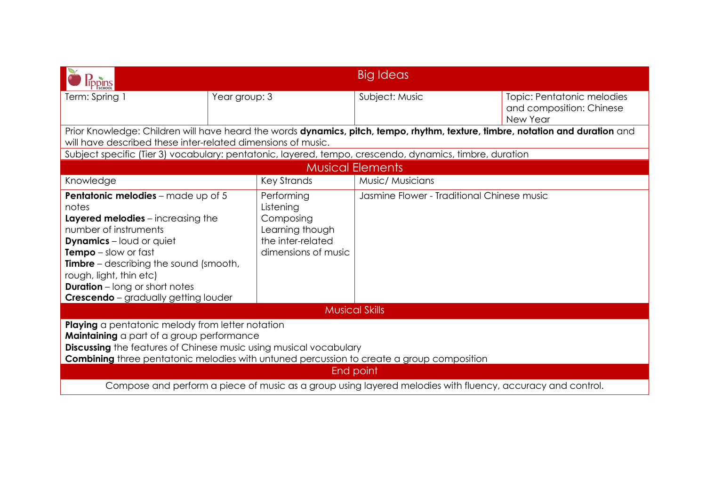| <b>PPINS</b>                                                                                                                                                                                                                                                                                                                      |               |                                                                                                     | Big Ideas                                                                                               |                                                                    |  |  |
|-----------------------------------------------------------------------------------------------------------------------------------------------------------------------------------------------------------------------------------------------------------------------------------------------------------------------------------|---------------|-----------------------------------------------------------------------------------------------------|---------------------------------------------------------------------------------------------------------|--------------------------------------------------------------------|--|--|
| Term: Spring 1                                                                                                                                                                                                                                                                                                                    | Year group: 3 |                                                                                                     | Subject: Music                                                                                          | Topic: Pentatonic melodies<br>and composition: Chinese<br>New Year |  |  |
| Prior Knowledge: Children will have heard the words dynamics, pitch, tempo, rhythm, texture, timbre, notation and duration and<br>will have described these inter-related dimensions of music.                                                                                                                                    |               |                                                                                                     |                                                                                                         |                                                                    |  |  |
|                                                                                                                                                                                                                                                                                                                                   |               |                                                                                                     | Subject specific (Tier 3) vocabulary: pentatonic, layered, tempo, crescendo, dynamics, timbre, duration |                                                                    |  |  |
|                                                                                                                                                                                                                                                                                                                                   |               |                                                                                                     | <b>Musical Elements</b>                                                                                 |                                                                    |  |  |
| Knowledge                                                                                                                                                                                                                                                                                                                         |               | Key Strands                                                                                         | Music/ Musicians                                                                                        |                                                                    |  |  |
| Pentatonic melodies - made up of 5<br>notes<br>Layered melodies - increasing the<br>number of instruments<br><b>Dynamics</b> – loud or quiet<br>Tempo - slow or fast<br><b>Timbre</b> – describing the sound (smooth,<br>rough, light, thin etc)<br><b>Duration</b> – long or short notes<br>Crescendo - gradually getting louder |               | Performing<br>Listening<br>Composing<br>Learning though<br>the inter-related<br>dimensions of music | Jasmine Flower - Traditional Chinese music                                                              |                                                                    |  |  |
| <b>Musical Skills</b>                                                                                                                                                                                                                                                                                                             |               |                                                                                                     |                                                                                                         |                                                                    |  |  |
| Playing a pentatonic melody from letter notation<br>Maintaining a part of a group performance<br><b>Discussing</b> the features of Chinese music using musical vocabulary<br><b>Combining</b> three pentatonic melodies with untuned percussion to create a group composition<br>End point                                        |               |                                                                                                     |                                                                                                         |                                                                    |  |  |
| Compose and perform a piece of music as a group using layered melodies with fluency, accuracy and control.                                                                                                                                                                                                                        |               |                                                                                                     |                                                                                                         |                                                                    |  |  |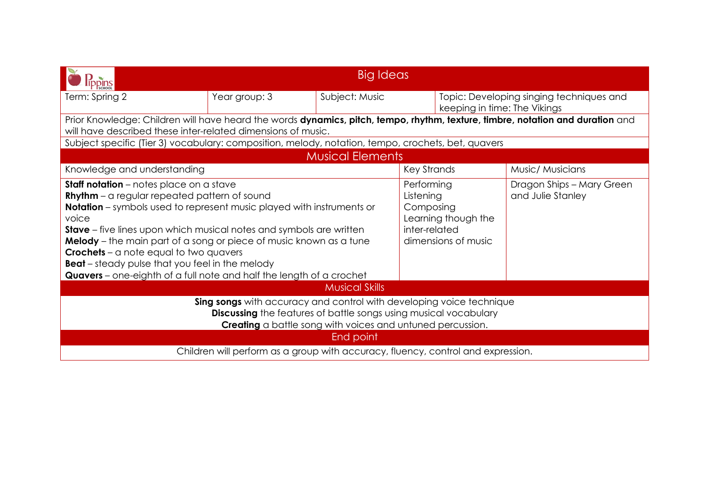| Big Ideas                                                                                                                                                                                                                                                                                                                                                                                                                                                                                                                             |               |                                                                                                     |                              |                                                |                                          |  |
|---------------------------------------------------------------------------------------------------------------------------------------------------------------------------------------------------------------------------------------------------------------------------------------------------------------------------------------------------------------------------------------------------------------------------------------------------------------------------------------------------------------------------------------|---------------|-----------------------------------------------------------------------------------------------------|------------------------------|------------------------------------------------|------------------------------------------|--|
| Term: Spring 2                                                                                                                                                                                                                                                                                                                                                                                                                                                                                                                        | Year group: 3 | Subject: Music                                                                                      | keeping in time: The Vikings |                                                | Topic: Developing singing techniques and |  |
| Prior Knowledge: Children will have heard the words dynamics, pitch, tempo, rhythm, texture, timbre, notation and duration and<br>will have described these inter-related dimensions of music.                                                                                                                                                                                                                                                                                                                                        |               |                                                                                                     |                              |                                                |                                          |  |
| Subject specific (Tier 3) vocabulary: composition, melody, notation, tempo, crochets, bet, quavers                                                                                                                                                                                                                                                                                                                                                                                                                                    |               |                                                                                                     |                              |                                                |                                          |  |
|                                                                                                                                                                                                                                                                                                                                                                                                                                                                                                                                       |               | <b>Musical Elements</b>                                                                             |                              |                                                |                                          |  |
| Knowledge and understanding                                                                                                                                                                                                                                                                                                                                                                                                                                                                                                           |               |                                                                                                     | Key Strands                  |                                                | Music/ Musicians                         |  |
| <b>Staff notation</b> – notes place on a stave<br><b>Rhythm</b> – a regular repeated pattern of sound<br><b>Notation</b> – symbols used to represent music played with instruments or<br>voice<br><b>Stave</b> – five lines upon which musical notes and symbols are written<br>Melody - the main part of a song or piece of music known as a tune<br><b>Crochets</b> – a note equal to two quavers<br><b>Beat</b> – steady pulse that you feel in the melody<br>Quavers - one-eighth of a full note and half the length of a crochet |               | Performing<br>Listening<br>Composing<br>Learning though the<br>inter-related<br>dimensions of music |                              | Dragon Ships - Mary Green<br>and Julie Stanley |                                          |  |
| <b>Musical Skills</b>                                                                                                                                                                                                                                                                                                                                                                                                                                                                                                                 |               |                                                                                                     |                              |                                                |                                          |  |
| Sing songs with accuracy and control with developing voice technique<br>Discussing the features of battle songs using musical vocabulary<br>Creating a battle song with voices and untuned percussion.                                                                                                                                                                                                                                                                                                                                |               |                                                                                                     |                              |                                                |                                          |  |
| End point                                                                                                                                                                                                                                                                                                                                                                                                                                                                                                                             |               |                                                                                                     |                              |                                                |                                          |  |
| Children will perform as a group with accuracy, fluency, control and expression.                                                                                                                                                                                                                                                                                                                                                                                                                                                      |               |                                                                                                     |                              |                                                |                                          |  |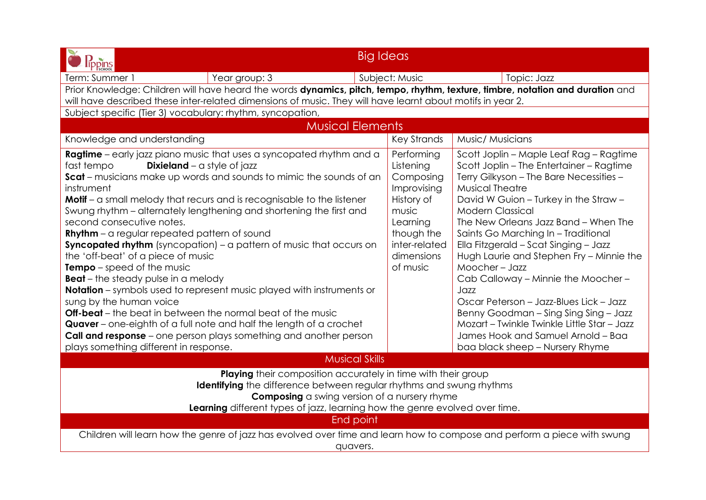| <b>Big Ideas</b><br>lippins                                                                                                                                                                                                                                                                                                                                                                                                                                                                                                                                                                                                                                                                                                                                                                                                                                                                                                                                                                                                                           |                                                                                                                                                 |                                                                                                                                                                                                                                                                                                                                                                                                                                                                                                                                                                                                                                                                             |  |  |  |  |
|-------------------------------------------------------------------------------------------------------------------------------------------------------------------------------------------------------------------------------------------------------------------------------------------------------------------------------------------------------------------------------------------------------------------------------------------------------------------------------------------------------------------------------------------------------------------------------------------------------------------------------------------------------------------------------------------------------------------------------------------------------------------------------------------------------------------------------------------------------------------------------------------------------------------------------------------------------------------------------------------------------------------------------------------------------|-------------------------------------------------------------------------------------------------------------------------------------------------|-----------------------------------------------------------------------------------------------------------------------------------------------------------------------------------------------------------------------------------------------------------------------------------------------------------------------------------------------------------------------------------------------------------------------------------------------------------------------------------------------------------------------------------------------------------------------------------------------------------------------------------------------------------------------------|--|--|--|--|
| Year group: 3<br>Term: Summer 1                                                                                                                                                                                                                                                                                                                                                                                                                                                                                                                                                                                                                                                                                                                                                                                                                                                                                                                                                                                                                       | Subject: Music                                                                                                                                  | Topic: Jazz                                                                                                                                                                                                                                                                                                                                                                                                                                                                                                                                                                                                                                                                 |  |  |  |  |
| Prior Knowledge: Children will have heard the words dynamics, pitch, tempo, rhythm, texture, timbre, notation and duration and<br>will have described these inter-related dimensions of music. They will have learnt about motifs in year 2.                                                                                                                                                                                                                                                                                                                                                                                                                                                                                                                                                                                                                                                                                                                                                                                                          |                                                                                                                                                 |                                                                                                                                                                                                                                                                                                                                                                                                                                                                                                                                                                                                                                                                             |  |  |  |  |
| Subject specific (Tier 3) vocabulary: rhythm, syncopation,                                                                                                                                                                                                                                                                                                                                                                                                                                                                                                                                                                                                                                                                                                                                                                                                                                                                                                                                                                                            |                                                                                                                                                 |                                                                                                                                                                                                                                                                                                                                                                                                                                                                                                                                                                                                                                                                             |  |  |  |  |
| <b>Musical Elements</b>                                                                                                                                                                                                                                                                                                                                                                                                                                                                                                                                                                                                                                                                                                                                                                                                                                                                                                                                                                                                                               |                                                                                                                                                 |                                                                                                                                                                                                                                                                                                                                                                                                                                                                                                                                                                                                                                                                             |  |  |  |  |
| Knowledge and understanding                                                                                                                                                                                                                                                                                                                                                                                                                                                                                                                                                                                                                                                                                                                                                                                                                                                                                                                                                                                                                           | <b>Key Strands</b>                                                                                                                              | Music/ Musicians                                                                                                                                                                                                                                                                                                                                                                                                                                                                                                                                                                                                                                                            |  |  |  |  |
| <b>Ragtime</b> - early jazz piano music that uses a syncopated rhythm and a<br><b>Dixieland</b> – a style of jazz<br>fast tempo<br><b>Scat</b> – musicians make up words and sounds to mimic the sounds of an<br>instrument<br>Motif - a small melody that recurs and is recognisable to the listener<br>Swung rhythm – alternately lengthening and shortening the first and<br>second consecutive notes.<br><b>Rhythm</b> – a regular repeated pattern of sound<br><b>Syncopated rhythm</b> (syncopation) – a pattern of music that occurs on<br>the 'off-beat' of a piece of music<br><b>Tempo</b> – speed of the music<br><b>Beat</b> – the steady pulse in a melody<br><b>Notation</b> – symbols used to represent music played with instruments or<br>sung by the human voice<br><b>Off-beat</b> – the beat in between the normal beat of the music<br>Quaver – one-eighth of a full note and half the length of a crochet<br><b>Call and response</b> – one person plays something and another person<br>plays something different in response. | Performing<br>Listening<br>Composing<br>Improvising<br>History of<br>music<br>Learning<br>though the<br>inter-related<br>dimensions<br>of music | Scott Joplin - Maple Leaf Rag - Ragtime<br>Scott Joplin - The Entertainer - Ragtime<br>Terry Gilkyson - The Bare Necessities -<br><b>Musical Theatre</b><br>David W Guion - Turkey in the Straw -<br><b>Modern Classical</b><br>The New Orleans Jazz Band - When The<br>Saints Go Marching In - Traditional<br>Ella Fitzgerald - Scat Singing - Jazz<br>Hugh Laurie and Stephen Fry - Minnie the<br>Moocher-Jazz<br>Cab Calloway - Minnie the Moocher -<br>Jazz<br>Oscar Peterson - Jazz-Blues Lick - Jazz<br>Benny Goodman - Sing Sing Sing - Jazz<br>Mozart - Twinkle Twinkle Little Star - Jazz<br>James Hook and Samuel Arnold - Baa<br>baa black sheep - Nursery Rhyme |  |  |  |  |
| <b>Musical Skills</b>                                                                                                                                                                                                                                                                                                                                                                                                                                                                                                                                                                                                                                                                                                                                                                                                                                                                                                                                                                                                                                 |                                                                                                                                                 |                                                                                                                                                                                                                                                                                                                                                                                                                                                                                                                                                                                                                                                                             |  |  |  |  |
| Playing their composition accurately in time with their group<br><b>Identifying</b> the difference between regular rhythms and swung rhythms<br><b>Composing</b> a swing version of a nursery rhyme<br>Learning different types of jazz, learning how the genre evolved over time.<br>End point<br>Children will learn how the genre of jazz has evolved over time and learn how to compose and perform a piece with swung                                                                                                                                                                                                                                                                                                                                                                                                                                                                                                                                                                                                                            |                                                                                                                                                 |                                                                                                                                                                                                                                                                                                                                                                                                                                                                                                                                                                                                                                                                             |  |  |  |  |
| quavers.                                                                                                                                                                                                                                                                                                                                                                                                                                                                                                                                                                                                                                                                                                                                                                                                                                                                                                                                                                                                                                              |                                                                                                                                                 |                                                                                                                                                                                                                                                                                                                                                                                                                                                                                                                                                                                                                                                                             |  |  |  |  |